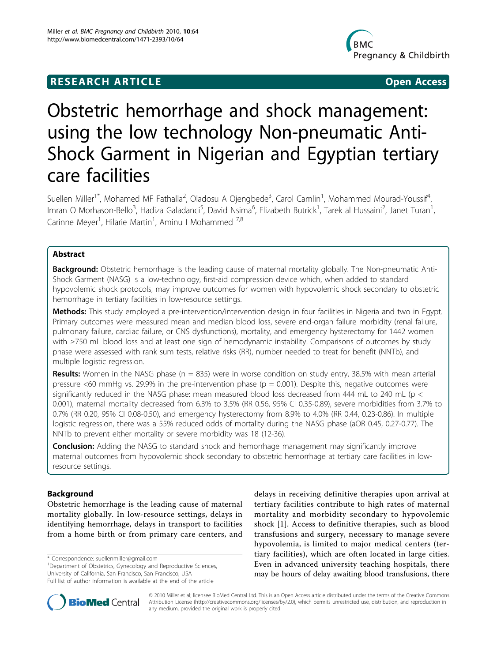## **RESEARCH ARTICLE Example 2018 12:00 Department of the Contract Open Access**



# Obstetric hemorrhage and shock management: using the low technology Non-pneumatic Anti-Shock Garment in Nigerian and Egyptian tertiary care facilities

Suellen Miller<sup>1\*</sup>, Mohamed MF Fathalla<sup>2</sup>, Oladosu A Ojengbede<sup>3</sup>, Carol Camlin<sup>1</sup>, Mohammed Mourad-Youssif<sup>4</sup> , Imran O Morhason-Bello<sup>3</sup>, Hadiza Galadanci<sup>5</sup>, David Nsima<sup>6</sup>, Elizabeth Butrick<sup>1</sup>, Tarek al Hussaini<sup>2</sup>, Janet Turan<sup>1</sup> , Carinne Meyer<sup>1</sup>, Hilarie Martin<sup>1</sup>, Aminu I Mohammed <sup>7,8</sup>

## Abstract

**Background:** Obstetric hemorrhage is the leading cause of maternal mortality globally. The Non-pneumatic Anti-Shock Garment (NASG) is a low-technology, first-aid compression device which, when added to standard hypovolemic shock protocols, may improve outcomes for women with hypovolemic shock secondary to obstetric hemorrhage in tertiary facilities in low-resource settings.

Methods: This study employed a pre-intervention/intervention design in four facilities in Nigeria and two in Egypt. Primary outcomes were measured mean and median blood loss, severe end-organ failure morbidity (renal failure, pulmonary failure, cardiac failure, or CNS dysfunctions), mortality, and emergency hysterectomy for 1442 women with ≥750 mL blood loss and at least one sign of hemodynamic instability. Comparisons of outcomes by study phase were assessed with rank sum tests, relative risks (RR), number needed to treat for benefit (NNTb), and multiple logistic regression.

**Results:** Women in the NASG phase ( $n = 835$ ) were in worse condition on study entry, 38.5% with mean arterial pressure <60 mmHg vs. 29.9% in the pre-intervention phase ( $p = 0.001$ ). Despite this, negative outcomes were significantly reduced in the NASG phase: mean measured blood loss decreased from 444 mL to 240 mL (p < 0.001), maternal mortality decreased from 6.3% to 3.5% (RR 0.56, 95% CI 0.35-0.89), severe morbidities from 3.7% to 0.7% (RR 0.20, 95% CI 0.08-0.50), and emergency hysterectomy from 8.9% to 4.0% (RR 0.44, 0.23-0.86). In multiple logistic regression, there was a 55% reduced odds of mortality during the NASG phase (aOR 0.45, 0.27-0.77). The NNTb to prevent either mortality or severe morbidity was 18 (12-36).

**Conclusion:** Adding the NASG to standard shock and hemorrhage management may significantly improve maternal outcomes from hypovolemic shock secondary to obstetric hemorrhage at tertiary care facilities in lowresource settings.

## Background

Obstetric hemorrhage is the leading cause of maternal mortality globally. In low-resource settings, delays in identifying hemorrhage, delays in transport to facilities from a home birth or from primary care centers, and

\* Correspondence: [suellenmiller@gmail.com](mailto:suellenmiller@gmail.com)

<sup>1</sup>Department of Obstetrics, Gynecology and Reproductive Sciences, University of California, San Francisco, San Francisco, USA Full list of author information is available at the end of the article

delays in receiving definitive therapies upon arrival at tertiary facilities contribute to high rates of maternal mortality and morbidity secondary to hypovolemic shock [[1\]](#page-7-0). Access to definitive therapies, such as blood transfusions and surgery, necessary to manage severe hypovolemia, is limited to major medical centers (tertiary facilities), which are often located in large cities. Even in advanced university teaching hospitals, there may be hours of delay awaiting blood transfusions, there



© 2010 Miller et al; licensee BioMed Central Ltd. This is an Open Access article distributed under the terms of the Creative Commons Attribution License [\(http://creativecommons.org/licenses/by/2.0](http://creativecommons.org/licenses/by/2.0)), which permits unrestricted use, distribution, and reproduction in any medium, provided the original work is properly cited.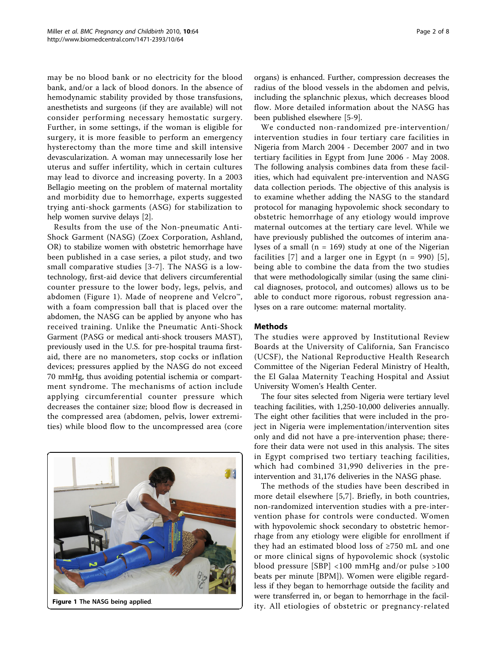may be no blood bank or no electricity for the blood bank, and/or a lack of blood donors. In the absence of hemodynamic stability provided by those transfusions, anesthetists and surgeons (if they are available) will not consider performing necessary hemostatic surgery. Further, in some settings, if the woman is eligible for surgery, it is more feasible to perform an emergency hysterectomy than the more time and skill intensive devascularization. A woman may unnecessarily lose her uterus and suffer infertility, which in certain cultures may lead to divorce and increasing poverty. In a 2003 Bellagio meeting on the problem of maternal mortality and morbidity due to hemorrhage, experts suggested trying anti-shock garments (ASG) for stabilization to help women survive delays [\[2](#page-7-0)].

Results from the use of the Non-pneumatic Anti-Shock Garment (NASG) (Zoex Corporation, Ashland, OR) to stabilize women with obstetric hemorrhage have been published in a case series, a pilot study, and two small comparative studies [[3](#page-7-0)-[7](#page-7-0)]. The NASG is a lowtechnology, first-aid device that delivers circumferential counter pressure to the lower body, legs, pelvis, and abdomen (Figure 1). Made of neoprene and Velcro™, with a foam compression ball that is placed over the abdomen, the NASG can be applied by anyone who has received training. Unlike the Pneumatic Anti-Shock Garment (PASG or medical anti-shock trousers MAST), previously used in the U.S. for pre-hospital trauma firstaid, there are no manometers, stop cocks or inflation devices; pressures applied by the NASG do not exceed 70 mmHg, thus avoiding potential ischemia or compartment syndrome. The mechanisms of action include applying circumferential counter pressure which decreases the container size; blood flow is decreased in the compressed area (abdomen, pelvis, lower extremities) while blood flow to the uncompressed area (core



organs) is enhanced. Further, compression decreases the radius of the blood vessels in the abdomen and pelvis, including the splanchnic plexus, which decreases blood flow. More detailed information about the NASG has been published elsewhere [[5-9](#page-7-0)].

We conducted non-randomized pre-intervention/ intervention studies in four tertiary care facilities in Nigeria from March 2004 - December 2007 and in two tertiary facilities in Egypt from June 2006 - May 2008. The following analysis combines data from these facilities, which had equivalent pre-intervention and NASG data collection periods. The objective of this analysis is to examine whether adding the NASG to the standard protocol for managing hypovolemic shock secondary to obstetric hemorrhage of any etiology would improve maternal outcomes at the tertiary care level. While we have previously published the outcomes of interim analyses of a small ( $n = 169$ ) study at one of the Nigerian facilities  $[7]$  $[7]$  and a larger one in Egypt  $(n = 990)$   $[5]$  $[5]$ , being able to combine the data from the two studies that were methodologically similar (using the same clinical diagnoses, protocol, and outcomes) allows us to be able to conduct more rigorous, robust regression analyses on a rare outcome: maternal mortality.

## Methods

The studies were approved by Institutional Review Boards at the University of California, San Francisco (UCSF), the National Reproductive Health Research Committee of the Nigerian Federal Ministry of Health, the El Galaa Maternity Teaching Hospital and Assiut University Women's Health Center.

The four sites selected from Nigeria were tertiary level teaching facilities, with 1,250-10,000 deliveries annually. The eight other facilities that were included in the project in Nigeria were implementation/intervention sites only and did not have a pre-intervention phase; therefore their data were not used in this analysis. The sites in Egypt comprised two tertiary teaching facilities, which had combined 31,990 deliveries in the preintervention and 31,176 deliveries in the NASG phase.

The methods of the studies have been described in more detail elsewhere [[5](#page-7-0),[7\]](#page-7-0). Briefly, in both countries, non-randomized intervention studies with a pre-intervention phase for controls were conducted. Women with hypovolemic shock secondary to obstetric hemorrhage from any etiology were eligible for enrollment if they had an estimated blood loss of ≥750 mL and one or more clinical signs of hypovolemic shock (systolic blood pressure [SBP] <100 mmHg and/or pulse >100 beats per minute [BPM]). Women were eligible regardless if they began to hemorrhage outside the facility and were transferred in, or began to hemorrhage in the facil-Figure 1 The NASG being applied.<br>ity. All etiologies of obstetric or pregnancy-related Figure 1 The Nash etiologies of obstetric or pregnancy-related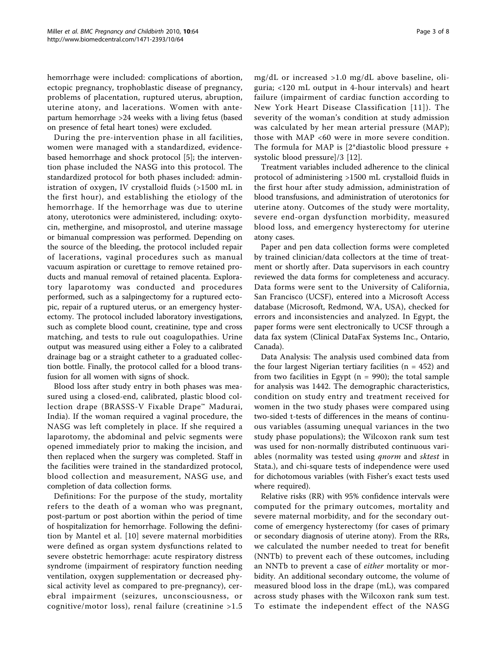hemorrhage were included: complications of abortion, ectopic pregnancy, trophoblastic disease of pregnancy, problems of placentation, ruptured uterus, abruption, uterine atony, and lacerations. Women with antepartum hemorrhage >24 weeks with a living fetus (based on presence of fetal heart tones) were excluded.

During the pre-intervention phase in all facilities, women were managed with a standardized, evidencebased hemorrhage and shock protocol [[5\]](#page-7-0); the intervention phase included the NASG into this protocol. The standardized protocol for both phases included: administration of oxygen, IV crystalloid fluids (>1500 mL in the first hour), and establishing the etiology of the hemorrhage. If the hemorrhage was due to uterine atony, uterotonics were administered, including: oxytocin, methergine, and misoprostol, and uterine massage or bimanual compression was performed. Depending on the source of the bleeding, the protocol included repair of lacerations, vaginal procedures such as manual vacuum aspiration or curettage to remove retained products and manual removal of retained placenta. Exploratory laparotomy was conducted and procedures performed, such as a salpingectomy for a ruptured ectopic, repair of a ruptured uterus, or an emergency hysterectomy. The protocol included laboratory investigations, such as complete blood count, creatinine, type and cross matching, and tests to rule out coagulopathies. Urine output was measured using either a Foley to a calibrated drainage bag or a straight catheter to a graduated collection bottle. Finally, the protocol called for a blood transfusion for all women with signs of shock.

Blood loss after study entry in both phases was measured using a closed-end, calibrated, plastic blood collection drape (BRASSS-V Fixable Drape™ Madurai, India). If the woman required a vaginal procedure, the NASG was left completely in place. If she required a laparotomy, the abdominal and pelvic segments were opened immediately prior to making the incision, and then replaced when the surgery was completed. Staff in the facilities were trained in the standardized protocol, blood collection and measurement, NASG use, and completion of data collection forms.

Definitions: For the purpose of the study, mortality refers to the death of a woman who was pregnant, post-partum or post abortion within the period of time of hospitalization for hemorrhage. Following the definition by Mantel et al. [[10\]](#page-7-0) severe maternal morbidities were defined as organ system dysfunctions related to severe obstetric hemorrhage: acute respiratory distress syndrome (impairment of respiratory function needing ventilation, oxygen supplementation or decreased physical activity level as compared to pre-pregnancy), cerebral impairment (seizures, unconsciousness, or cognitive/motor loss), renal failure (creatinine >1.5 mg/dL or increased >1.0 mg/dL above baseline, oliguria; <120 mL output in 4-hour intervals) and heart failure (impairment of cardiac function according to New York Heart Disease Classification [[11\]](#page-7-0)). The severity of the woman's condition at study admission was calculated by her mean arterial pressure (MAP); those with MAP <60 were in more severe condition. The formula for MAP is [2\*diastolic blood pressure + systolic blood pressure]/3 [[12\]](#page-7-0).

Treatment variables included adherence to the clinical protocol of administering >1500 mL crystalloid fluids in the first hour after study admission, administration of blood transfusions, and administration of uterotonics for uterine atony. Outcomes of the study were mortality, severe end-organ dysfunction morbidity, measured blood loss, and emergency hysterectomy for uterine atony cases.

Paper and pen data collection forms were completed by trained clinician/data collectors at the time of treatment or shortly after. Data supervisors in each country reviewed the data forms for completeness and accuracy. Data forms were sent to the University of California, San Francisco (UCSF), entered into a Microsoft Access database (Microsoft, Redmond, WA, USA), checked for errors and inconsistencies and analyzed. In Egypt, the paper forms were sent electronically to UCSF through a data fax system (Clinical DataFax Systems Inc., Ontario, Canada).

Data Analysis: The analysis used combined data from the four largest Nigerian tertiary facilities ( $n = 452$ ) and from two facilities in Egypt ( $n = 990$ ); the total sample for analysis was 1442. The demographic characteristics, condition on study entry and treatment received for women in the two study phases were compared using two-sided t-tests of differences in the means of continuous variables (assuming unequal variances in the two study phase populations); the Wilcoxon rank sum test was used for non-normally distributed continuous variables (normality was tested using *qnorm* and *sktest* in Stata.), and chi-square tests of independence were used for dichotomous variables (with Fisher's exact tests used where required).

Relative risks (RR) with 95% confidence intervals were computed for the primary outcomes, mortality and severe maternal morbidity, and for the secondary outcome of emergency hysterectomy (for cases of primary or secondary diagnosis of uterine atony). From the RRs, we calculated the number needed to treat for benefit (NNTb) to prevent each of these outcomes, including an NNTb to prevent a case of *either* mortality or morbidity. An additional secondary outcome, the volume of measured blood loss in the drape (mL), was compared across study phases with the Wilcoxon rank sum test. To estimate the independent effect of the NASG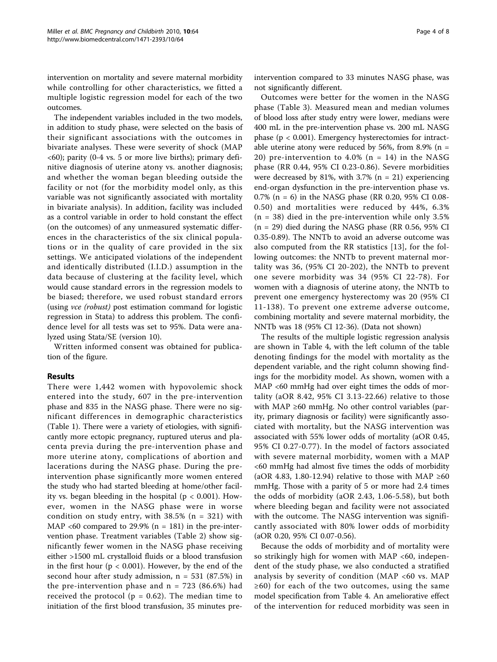intervention on mortality and severe maternal morbidity while controlling for other characteristics, we fitted a multiple logistic regression model for each of the two outcomes.

The independent variables included in the two models, in addition to study phase, were selected on the basis of their significant associations with the outcomes in bivariate analyses. These were severity of shock (MAP  $\langle 60 \rangle$ ; parity (0-4 vs. 5 or more live births); primary definitive diagnosis of uterine atony vs. another diagnosis; and whether the woman began bleeding outside the facility or not (for the morbidity model only, as this variable was not significantly associated with mortality in bivariate analysis). In addition, facility was included as a control variable in order to hold constant the effect (on the outcomes) of any unmeasured systematic differences in the characteristics of the six clinical populations or in the quality of care provided in the six settings. We anticipated violations of the independent and identically distributed (I.I.D.) assumption in the data because of clustering at the facility level, which would cause standard errors in the regression models to be biased; therefore, we used robust standard errors (using vce (robust) post estimation command for logistic regression in Stata) to address this problem. The confidence level for all tests was set to 95%. Data were analyzed using Stata/SE (version 10).

Written informed consent was obtained for publication of the figure.

## Results

There were 1,442 women with hypovolemic shock entered into the study, 607 in the pre-intervention phase and 835 in the NASG phase. There were no significant differences in demographic characteristics (Table [1\)](#page-4-0). There were a variety of etiologies, with significantly more ectopic pregnancy, ruptured uterus and placenta previa during the pre-intervention phase and more uterine atony, complications of abortion and lacerations during the NASG phase. During the preintervention phase significantly more women entered the study who had started bleeding at home/other facility vs. began bleeding in the hospital ( $p < 0.001$ ). However, women in the NASG phase were in worse condition on study entry, with  $38.5\%$  (n = 321) with MAP  $<60$  compared to 29.9% (n = 181) in the pre-intervention phase. Treatment variables (Table [2\)](#page-4-0) show significantly fewer women in the NASG phase receiving either >1500 mL crystalloid fluids or a blood transfusion in the first hour ( $p < 0.001$ ). However, by the end of the second hour after study admission,  $n = 531$  (87.5%) in the pre-intervention phase and  $n = 723$  (86.6%) had received the protocol ( $p = 0.62$ ). The median time to initiation of the first blood transfusion, 35 minutes preintervention compared to 33 minutes NASG phase, was not significantly different.

Outcomes were better for the women in the NASG phase (Table [3](#page-5-0)). Measured mean and median volumes of blood loss after study entry were lower, medians were 400 mL in the pre-intervention phase vs. 200 mL NASG phase ( $p < 0.001$ ). Emergency hysterectomies for intractable uterine atony were reduced by 56%, from 8.9% ( $n =$ 20) pre-intervention to 4.0% ( $n = 14$ ) in the NASG phase (RR 0.44, 95% CI 0.23-0.86). Severe morbidities were decreased by 81%, with 3.7% ( $n = 21$ ) experiencing end-organ dysfunction in the pre-intervention phase vs. 0.7% (n = 6) in the NASG phase (RR 0.20, 95% CI 0.08- 0.50) and mortalities were reduced by 44%, 6.3%  $(n = 38)$  died in the pre-intervention while only 3.5%  $(n = 29)$  died during the NASG phase (RR 0.56, 95% CI) 0.35-0.89). The NNTb to avoid an adverse outcome was also computed from the RR statistics [[13\]](#page-7-0), for the following outcomes: the NNTb to prevent maternal mortality was 36, (95% CI 20-202), the NNTb to prevent one severe morbidity was 34 (95% CI 22-78). For women with a diagnosis of uterine atony, the NNTb to prevent one emergency hysterectomy was 20 (95% CI 11-138). To prevent one extreme adverse outcome, combining mortality and severe maternal morbidity, the NNTb was 18 (95% CI 12-36). (Data not shown)

The results of the multiple logistic regression analysis are shown in Table [4,](#page-5-0) with the left column of the table denoting findings for the model with mortality as the dependent variable, and the right column showing findings for the morbidity model. As shown, women with a MAP <60 mmHg had over eight times the odds of mortality (aOR 8.42, 95% CI 3.13-22.66) relative to those with MAP ≥60 mmHg. No other control variables (parity, primary diagnosis or facility) were significantly associated with mortality, but the NASG intervention was associated with 55% lower odds of mortality (aOR 0.45, 95% CI 0.27-0.77). In the model of factors associated with severe maternal morbidity, women with a MAP <60 mmHg had almost five times the odds of morbidity (aOR 4.83, 1.80-12.94) relative to those with MAP  $\geq 60$ mmHg. Those with a parity of 5 or more had 2.4 times the odds of morbidity (aOR 2.43, 1.06-5.58), but both where bleeding began and facility were not associated with the outcome. The NASG intervention was significantly associated with 80% lower odds of morbidity (aOR 0.20, 95% CI 0.07-0.56).

Because the odds of morbidity and of mortality were so strikingly high for women with MAP  $<60$ , independent of the study phase, we also conducted a stratified analysis by severity of condition (MAP <60 vs. MAP ≥60) for each of the two outcomes, using the same model specification from Table [4](#page-5-0). An ameliorative effect of the intervention for reduced morbidity was seen in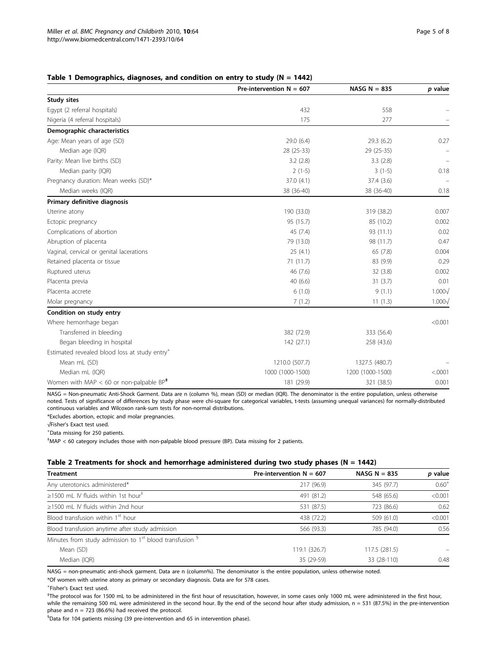## Pre-intervention  $N = 607$  NASG  $N = 835$  p value Study sites Egypt (2 referral hospitals) 432 558 – Nigeria (4 referral hospitals) 175 277 – Demographic characteristics Age: Mean years of age (SD) 0.27 Median age (IQR) 28 (25-33) 29 (25-35) – Parity: Mean live births (SD) 6.3.3 (2.8) (2.8) (2.8) (2.8) (3.3 (2.8) (3.3 (2.8) Median parity (IQR) 8 (1-5) 3 (1-5) 2 (1-5) 3 (1-5) 3 (1-5) Pregnancy duration: Mean weeks (SD)\* 37.0 (4.1) 37.0 (4.1) 37.4 (3.6) Median weeks (IQR) 88 (36-40) 38 (36-40) 38 (36-40) 38 (36-40) 38 (36-40) 38 (36-40) Primary definitive diagnosis Uterine atony 190 (33.0) 319 (38.2) 0.007 Ectopic pregnancy 95 (15.7) 85 (10.2) 0.002 Complications of abortion 45 (7.4) 93 (11.1) 0.02 Abruption of placenta 79 (13.0) 98 (11.7) 0.47 Vaginal, cervical or genital lacerations and the contract of the contract of the contract of the contract of the contract of the contract of the contract of the contract of the contract of the contract of the contract of t Retained placenta or tissue 0.29 (11.7) 83 (9.9) 83 (9.9) 83 (9.9) 83 (9.9) 83 (9.9) 83 (9.9) 83 (9.9) 83 (9.9) 83 (9.9) 83 (9.9) 83 (9.9) 83 (9.9) 84 (11.7) 83 (9.9) 84 (11.7) 83 (9.9) 84 (11.7) 83 (9.9) 84 (11.7) 84 (11. Ruptured uterus 60.002 (3.8) 32 (3.8) 32 (3.8) 32 (3.8) 32 (3.8) 32 (3.8) 46 (7.6) 32 (3.8) 46 (7.6) 46 (7.6) 32 (3.8) 32 (3.8) 46 (7.6) 46 (7.6) 46 (7.6) 46 (7.6) 46 (7.6) 46 (7.6) 47 (7.6) 47 (7.6) 47 (7.6) 47 (7.6) 47 ( Placenta previa 40 (6.6) 31 (3.7) 0.01 Placenta accrete 6 (1.0) 9 (1.1) 1.000√ Molar pregnancy 1.000√ 1.2) 11 (1.3) 1.000√ 1.000√ 1.2) 11 (1.3) 1.000√ Condition on study entry Where hemorrhage began  $\leq 0.001$ Transferred in bleeding 382 (72.9) 333 (56.4) Began bleeding in hospital 258 (43.6) 258 (43.6) Estimated revealed blood loss at study entry+ Mean mL (SD) 1210.0 (507.7) 1327.5 (480.7) – 1327.5 (480.7) Median mL (IQR) 1000 (1000-1500) 1200 (1000-1500) <.0001 Women with MAP < 60 or non-palpable  $BP^{\pm}$  181 (29.9) 321 (38.5) 321 (38.5) 0.001

#### <span id="page-4-0"></span>Table 1 Demographics, diagnoses, and condition on entry to study ( $N = 1442$ )

NASG = Non-pneumatic Anti-Shock Garment. Data are n (column %), mean (SD) or median (IQR). The denominator is the entire population, unless otherwise noted. Tests of significance of differences by study phase were chi-square for categorical variables, t-tests (assuming unequal variances) for normally-distributed continuous variables and Wilcoxon rank-sum tests for non-normal distributions.

\*Excludes abortion, ectopic and molar pregnancies.

√Fisher's Exact test used.

+ Data missing for 250 patients.

 $^{\ddagger}$ MAP  $<$  60 category includes those with non-palpable blood pressure (BP). Data missing for 2 patients.

#### Table 2 Treatments for shock and hemorrhage administered during two study phases ( $N = 1442$ )

| <b>Treatment</b>                                                               | Pre-intervention $N = 607$ | NASG $N = 835$ | $p$ value  |
|--------------------------------------------------------------------------------|----------------------------|----------------|------------|
| Any uterotonics administered*                                                  | 217 (96.9)                 | 345 (97.7)     | $0.60^{+}$ |
| $\ge$ 1500 mL IV fluids within 1st hour <sup>#</sup>                           | 491 (81.2)                 | 548 (65.6)     | < 0.001    |
| $\geq$ 1500 mL IV fluids within 2nd hour                                       | 531 (87.5)                 | 723 (86.6)     | 0.62       |
| Blood transfusion within 1 <sup>st</sup> hour                                  | 438 (72.2)                 | 509 (61.0)     | < 0.001    |
| Blood transfusion anytime after study admission                                | 566 (93.3)                 | 785 (94.0)     | 0.56       |
| Minutes from study admission to 1 <sup>st</sup> blood transfusion <sup>§</sup> |                            |                |            |
| Mean (SD)                                                                      | 119.1 (326.7)              | 117.5 (281.5)  |            |
| Median (IQR)                                                                   | 35 (29-59)                 | 33 (28-110)    | 0.48       |

NASG = non-pneumatic anti-shock garment. Data are n (column%). The denominator is the entire population, unless otherwise noted.

\*Of women with uterine atony as primary or secondary diagnosis. Data are for 578 cases.

+ Fisher's Exact test used.

‡ The protocol was for 1500 mL to be administered in the first hour of resuscitation, however, in some cases only 1000 mL were administered in the first hour, while the remaining 500 mL were administered in the second hour. By the end of the second hour after study admission, n = 531 (87.5%) in the pre-intervention phase and  $n = 723$  (86.6%) had received the protocol.

§ Data for 104 patients missing (39 pre-intervention and 65 in intervention phase).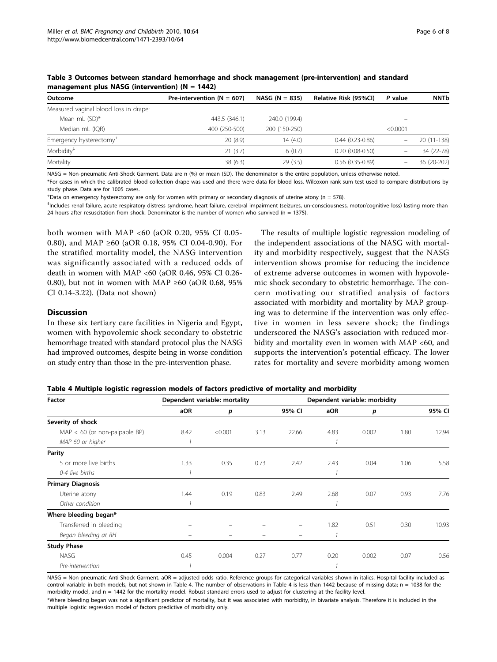<span id="page-5-0"></span>

| Table 3 Outcomes between standard hemorrhage and shock management (pre-intervention) and standard |  |
|---------------------------------------------------------------------------------------------------|--|
| management plus NASG (intervention) ( $N = 1442$ )                                                |  |

| Outcome                               | Pre-intervention ( $N = 607$ ) | $NASG (N = 835)$ | Relative Risk (95%CI) | P value                  | <b>NNTb</b> |
|---------------------------------------|--------------------------------|------------------|-----------------------|--------------------------|-------------|
| Measured vaginal blood loss in drape: |                                |                  |                       |                          |             |
| Mean mL (SD)*                         | 443.5 (346.1)                  | 240.0 (199.4)    |                       |                          |             |
| Median mL (IQR)                       | 400 (250-500)                  | 200 (150-250)    |                       | < 0.0001                 |             |
| Emergency hysterectomy <sup>+</sup>   | 20(8.9)                        | 14(4.0)          | $0.44(0.23-0.86)$     | $\qquad \qquad -$        | 20 (11-138) |
| Morbidity <sup>#</sup>                | 21(3.7)                        | 6(0.7)           | $0.20(0.08-0.50)$     | $\overline{\phantom{0}}$ | 34 (22-78)  |
| Mortality                             | 38(6.3)                        | 29(3.5)          | $0.56(0.35-0.89)$     | $\overline{\phantom{m}}$ | 36 (20-202) |

NASG = Non-pneumatic Anti-Shock Garment. Data are n (%) or mean (SD). The denominator is the entire population, unless otherwise noted.

\*For cases in which the calibrated blood collection drape was used and there were data for blood loss. Wilcoxon rank-sum test used to compare distributions by study phase. Data are for 1005 cases.

+ Data on emergency hysterectomy are only for women with primary or secondary diagnosis of uterine atony (n = 578).

‡ Includes renal failure, acute respiratory distress syndrome, heart failure, cerebral impairment (seizures, un-consciousness, motor/cognitive loss) lasting more than 24 hours after resuscitation from shock. Denominator is the number of women who survived (n = 1375).

both women with MAP <60 (aOR 0.20, 95% CI 0.05- 0.80), and MAP ≥60 (aOR 0.18, 95% CI 0.04-0.90). For the stratified mortality model, the NASG intervention was significantly associated with a reduced odds of death in women with MAP <60 (aOR 0.46, 95% CI 0.26- 0.80), but not in women with MAP ≥60 (aOR 0.68, 95% CI 0.14-3.22). (Data not shown)

## **Discussion**

In these six tertiary care facilities in Nigeria and Egypt, women with hypovolemic shock secondary to obstetric hemorrhage treated with standard protocol plus the NASG had improved outcomes, despite being in worse condition on study entry than those in the pre-intervention phase.

The results of multiple logistic regression modeling of the independent associations of the NASG with mortality and morbidity respectively, suggest that the NASG intervention shows promise for reducing the incidence of extreme adverse outcomes in women with hypovolemic shock secondary to obstetric hemorrhage. The concern motivating our stratified analysis of factors associated with morbidity and mortality by MAP grouping was to determine if the intervention was only effective in women in less severe shock; the findings underscored the NASG's association with reduced morbidity and mortality even in women with  $MAP < 60$ , and supports the intervention's potential efficacy. The lower rates for mortality and severe morbidity among women

| Factor                          | Dependent variable: mortality |         | Dependent variable: morbidity |        |      |       |      |        |
|---------------------------------|-------------------------------|---------|-------------------------------|--------|------|-------|------|--------|
|                                 | aOR                           | p       |                               | 95% CI | aOR  | p     |      | 95% CI |
| Severity of shock               |                               |         |                               |        |      |       |      |        |
| $MAP < 60$ (or non-palpable BP) | 8.42                          | < 0.001 | 3.13                          | 22.66  | 4.83 | 0.002 | 1.80 | 12.94  |
| MAP 60 or higher                |                               |         |                               |        |      |       |      |        |
| Parity                          |                               |         |                               |        |      |       |      |        |
| 5 or more live births           | 1.33                          | 0.35    | 0.73                          | 2.42   | 2.43 | 0.04  | 1.06 | 5.58   |
| 0-4 live births                 |                               |         |                               |        |      |       |      |        |
| <b>Primary Diagnosis</b>        |                               |         |                               |        |      |       |      |        |
| Uterine atony                   | 1.44                          | 0.19    | 0.83                          | 2.49   | 2.68 | 0.07  | 0.93 | 7.76   |
| Other condition                 |                               |         |                               |        |      |       |      |        |
| Where bleeding began*           |                               |         |                               |        |      |       |      |        |
| Transferred in bleeding         |                               |         |                               |        | 1.82 | 0.51  | 0.30 | 10.93  |
| Began bleeding at RH            |                               |         |                               |        |      |       |      |        |
| <b>Study Phase</b>              |                               |         |                               |        |      |       |      |        |
| <b>NASG</b>                     | 0.45                          | 0.004   | 0.27                          | 0.77   | 0.20 | 0.002 | 0.07 | 0.56   |
| Pre-intervention                |                               |         |                               |        |      |       |      |        |

NASG = Non-pneumatic Anti-Shock Garment. aOR = adjusted odds ratio. Reference groups for categorical variables shown in italics. Hospital facility included as control variable in both models, but not shown in Table 4. The number of observations in Table 4 is less than 1442 because of missing data; n = 1038 for the morbidity model, and n = 1442 for the mortality model. Robust standard errors used to adjust for clustering at the facility level.

\*Where bleeding began was not a significant predictor of mortality, but it was associated with morbidity, in bivariate analysis. Therefore it is included in the multiple logistic regression model of factors predictive of morbidity only.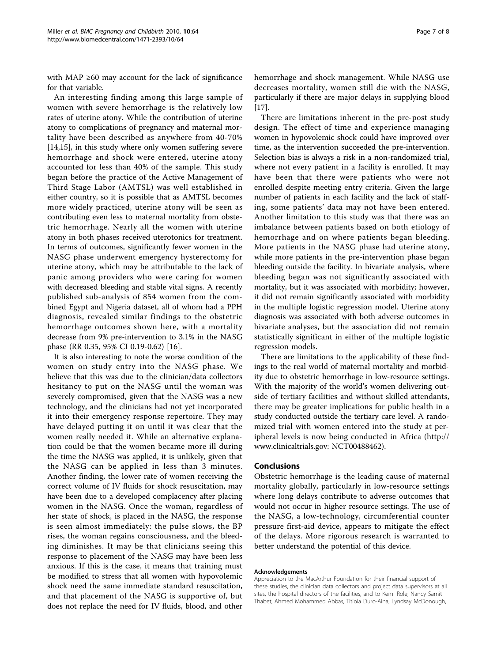with MAP  $\geq 60$  may account for the lack of significance for that variable.

An interesting finding among this large sample of women with severe hemorrhage is the relatively low rates of uterine atony. While the contribution of uterine atony to complications of pregnancy and maternal mortality have been described as anywhere from 40-70% [[14,15\]](#page-7-0), in this study where only women suffering severe hemorrhage and shock were entered, uterine atony accounted for less than 40% of the sample. This study began before the practice of the Active Management of Third Stage Labor (AMTSL) was well established in either country, so it is possible that as AMTSL becomes more widely practiced, uterine atony will be seen as contributing even less to maternal mortality from obstetric hemorrhage. Nearly all the women with uterine atony in both phases received uterotonics for treatment. In terms of outcomes, significantly fewer women in the NASG phase underwent emergency hysterectomy for uterine atony, which may be attributable to the lack of panic among providers who were caring for women with decreased bleeding and stable vital signs. A recently published sub-analysis of 854 women from the combined Egypt and Nigeria dataset, all of whom had a PPH diagnosis, revealed similar findings to the obstetric hemorrhage outcomes shown here, with a mortality decrease from 9% pre-intervention to 3.1% in the NASG phase (RR 0.35, 95% CI 0.19-0.62) [\[16\]](#page-7-0).

It is also interesting to note the worse condition of the women on study entry into the NASG phase. We believe that this was due to the clinician/data collectors hesitancy to put on the NASG until the woman was severely compromised, given that the NASG was a new technology, and the clinicians had not yet incorporated it into their emergency response repertoire. They may have delayed putting it on until it was clear that the women really needed it. While an alternative explanation could be that the women became more ill during the time the NASG was applied, it is unlikely, given that the NASG can be applied in less than 3 minutes. Another finding, the lower rate of women receiving the correct volume of IV fluids for shock resuscitation, may have been due to a developed complacency after placing women in the NASG. Once the woman, regardless of her state of shock, is placed in the NASG, the response is seen almost immediately: the pulse slows, the BP rises, the woman regains consciousness, and the bleeding diminishes. It may be that clinicians seeing this response to placement of the NASG may have been less anxious. If this is the case, it means that training must be modified to stress that all women with hypovolemic shock need the same immediate standard resuscitation, and that placement of the NASG is supportive of, but does not replace the need for IV fluids, blood, and other

hemorrhage and shock management. While NASG use decreases mortality, women still die with the NASG, particularly if there are major delays in supplying blood [[17\]](#page-7-0).

There are limitations inherent in the pre-post study design. The effect of time and experience managing women in hypovolemic shock could have improved over time, as the intervention succeeded the pre-intervention. Selection bias is always a risk in a non-randomized trial, where not every patient in a facility is enrolled. It may have been that there were patients who were not enrolled despite meeting entry criteria. Given the large number of patients in each facility and the lack of staffing, some patients' data may not have been entered. Another limitation to this study was that there was an imbalance between patients based on both etiology of hemorrhage and on where patients began bleeding. More patients in the NASG phase had uterine atony, while more patients in the pre-intervention phase began bleeding outside the facility. In bivariate analysis, where bleeding began was not significantly associated with mortality, but it was associated with morbidity; however, it did not remain significantly associated with morbidity in the multiple logistic regression model. Uterine atony diagnosis was associated with both adverse outcomes in bivariate analyses, but the association did not remain statistically significant in either of the multiple logistic regression models.

There are limitations to the applicability of these findings to the real world of maternal mortality and morbidity due to obstetric hemorrhage in low-resource settings. With the majority of the world's women delivering outside of tertiary facilities and without skilled attendants, there may be greater implications for public health in a study conducted outside the tertiary care level. A randomized trial with women entered into the study at peripheral levels is now being conducted in Africa ([http://](http://www.clinicaltrials.gov) [www.clinicaltrials.gov](http://www.clinicaltrials.gov): NCT00488462).

## Conclusions

Obstetric hemorrhage is the leading cause of maternal mortality globally, particularly in low-resource settings where long delays contribute to adverse outcomes that would not occur in higher resource settings. The use of the NASG, a low-technology, circumferential counter pressure first-aid device, appears to mitigate the effect of the delays. More rigorous research is warranted to better understand the potential of this device.

#### Acknowledgements

Appreciation to the MacArthur Foundation for their financial support of these studies, the clinician data collectors and project data supervisors at all sites, the hospital directors of the facilities, and to Kemi Role, Nancy Samit Thabet, Ahmed Mohammed Abbas, Titiola Duro-Aina, Lyndsay McDonough,